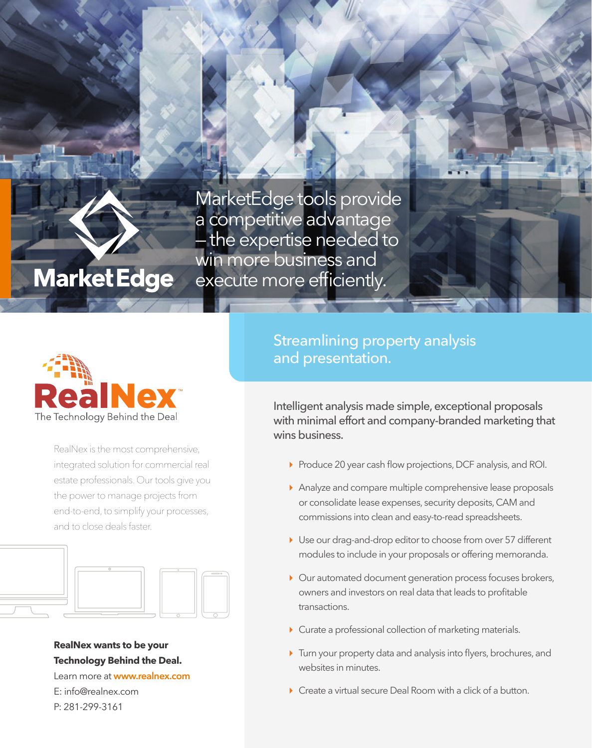MarketEdge tools provide a competitive advantage the expertise needed to win more business and execute more efficiently.



**Market Edge** 

RealNex is the most comprehensive, integrated solution for commercial real estate professionals. Our tools give you the power to manage projects from end-to-end, to simplify your processes, and to close deals faster.



#### **RealNex wants to be your Technology Behind the Deal.**

Learn more at **www.realnex.com** E: info@realnex.com P: 281-299-3161

### Streamlining property analysis and presentation.

Intelligent analysis made simple, exceptional proposals with minimal effort and company-branded marketing that wins business.

- Produce 20 year cash flow projections, DCF analysis, and ROI.
- Analyze and compare multiple comprehensive lease proposals or consolidate lease expenses, security deposits, CAM and commissions into clean and easy-to-read spreadsheets.
- Use our drag-and-drop editor to choose from over 57 different modules to include in your proposals or offering memoranda.
- Our automated document generation process focuses brokers, owners and investors on real data that leads to profitable transactions.
- Curate a professional collection of marketing materials.
- Turn your property data and analysis into flyers, brochures, and websites in minutes.
- ▶ Create a virtual secure Deal Room with a click of a button.